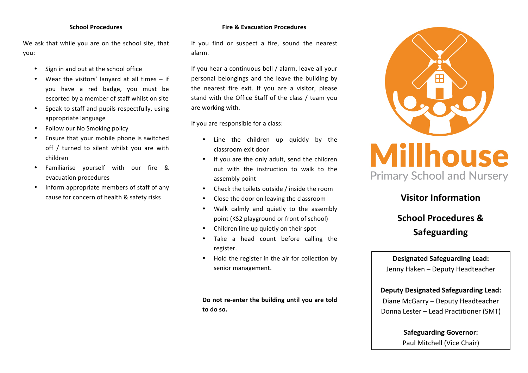#### **School Procedures**

We ask that while you are on the school site, that you:

- Sign in and out at the school office
- Wear the visitors' lanyard at all times  $-$  if you have a red badge, you must be escorted by a member of staff whilst on site
- Speak to staff and pupils respectfully, using appropriate language
- Follow our No Smoking policy
- Ensure that your mobile phone is switched off / turned to silent whilst you are with children
- Familiarise yourself with our fire & evacuation procedures
- Inform appropriate members of staff of any cause for concern of health & safety risks

#### **Fire & Evacuation Procedures**

If you find or suspect a fire, sound the nearest alarm.

If you hear a continuous bell / alarm, leave all your personal belongings and the leave the building by the nearest fire exit. If you are a visitor, please stand with the Office Staff of the class / team you are working with.

If you are responsible for a class:

- Line the children up quickly by the classroom exit door
- If you are the only adult, send the children out with the instruction to walk to the assembly point
- Check the toilets outside  $\ell$  inside the room
- Close the door on leaving the classroom
- Walk calmly and quietly to the assembly point (KS2 playground or front of school)
- Children line up quietly on their spot
- Take a head count before calling the register.
- Hold the register in the air for collection by senior management.

Do not re-enter the building until you are told **to do so.**



# **Visitor Information**

# **School Procedures & Safeguarding**

# **Designated Safeguarding Lead:** Jenny Haken - Deputy Headteacher

# **Deputy Designated Safeguarding Lead:** Diane McGarry - Deputy Headteacher Donna Lester – Lead Practitioner (SMT)

**Safeguarding Governor:** Paul Mitchell (Vice Chair)